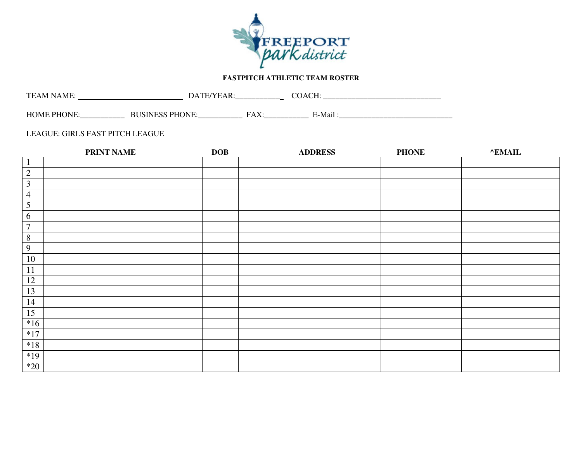

## **FASTPITCH ATHLETIC TEAM ROSTER**

| mт<br>- IV/L<br>. .<br>$\sim$  | -<br>້        | ____________             |        |
|--------------------------------|---------------|--------------------------|--------|
| . LIC<br>IM H<br>_____________ | _____________ | EΔ<br>.<br>_____________ | .-Mai' |

## LEAGUE: GIRLS FAST PITCH LEAGUE

|                         | <b>PRINT NAME</b> | <b>DOB</b> | <b>ADDRESS</b> | <b>PHONE</b> | <b>^EMAIL</b> |
|-------------------------|-------------------|------------|----------------|--------------|---------------|
| $\overline{1}$          |                   |            |                |              |               |
| $\overline{2}$          |                   |            |                |              |               |
| $\overline{\mathbf{3}}$ |                   |            |                |              |               |
| $\overline{4}$          |                   |            |                |              |               |
| $\overline{5}$          |                   |            |                |              |               |
| 6                       |                   |            |                |              |               |
| $\boldsymbol{7}$        |                   |            |                |              |               |
| $\, 8$                  |                   |            |                |              |               |
| 9                       |                   |            |                |              |               |
| $10\,$                  |                   |            |                |              |               |
| 11                      |                   |            |                |              |               |
| 12                      |                   |            |                |              |               |
| 13                      |                   |            |                |              |               |
| 14                      |                   |            |                |              |               |
| 15                      |                   |            |                |              |               |
| $*16$                   |                   |            |                |              |               |
| $*17$                   |                   |            |                |              |               |
| $*18$                   |                   |            |                |              |               |
| $*19$                   |                   |            |                |              |               |
| $*20$                   |                   |            |                |              |               |